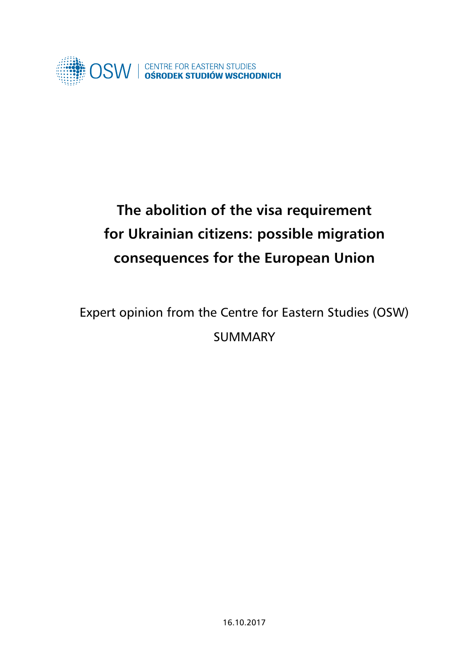

# **The abolition of the visa requirement for Ukrainian citizens: possible migration consequences for the European Union**

## Expert opinion from the Centre for Eastern Studies (OSW) SUMMARY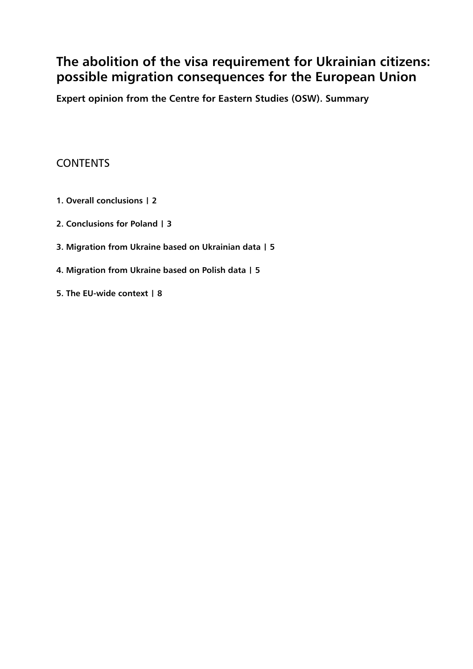## **The abolition of the visa requirement for Ukrainian citizens: possible migration consequences for the European Union**

**Expert opinion from the Centre for Eastern Studies (OSW). Summary**

### **CONTENTS**

- **1. Overall conclusions | 2**
- **2. Conclusions for Poland | 3**
- **3. Migration from Ukraine based on Ukrainian data | 5**
- **4. Migration from Ukraine based on Polish data | 5**
- **5. The EU-wide context | 8**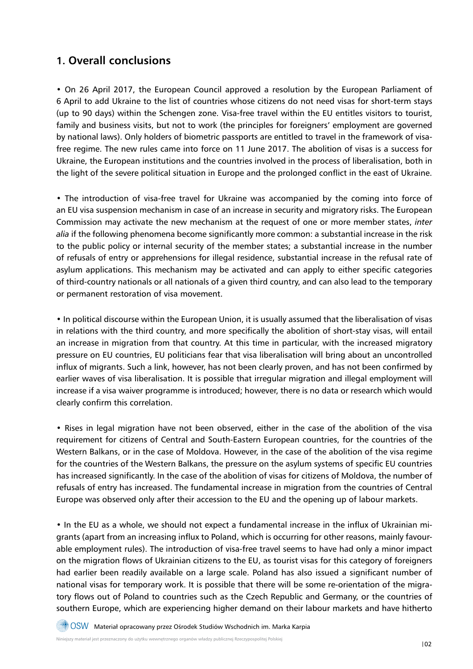### **1. Overall conclusions**

• On 26 April 2017, the European Council approved a resolution by the European Parliament of 6 April to add Ukraine to the list of countries whose citizens do not need visas for short-term stays (up to 90 days) within the Schengen zone. Visa-free travel within the EU entitles visitors to tourist, family and business visits, but not to work (the principles for foreigners' employment are governed by national laws). Only holders of biometric passports are entitled to travel in the framework of visafree regime. The new rules came into force on 11 June 2017. The abolition of visas is a success for Ukraine, the European institutions and the countries involved in the process of liberalisation, both in the light of the severe political situation in Europe and the prolonged conflict in the east of Ukraine.

• The introduction of visa-free travel for Ukraine was accompanied by the coming into force of an EU visa suspension mechanism in case of an increase in security and migratory risks. The European Commission may activate the new mechanism at the request of one or more member states, *inter alia* if the following phenomena become significantly more common: a substantial increase in the risk to the public policy or internal security of the member states; a substantial increase in the number of refusals of entry or apprehensions for illegal residence, substantial increase in the refusal rate of asylum applications. This mechanism may be activated and can apply to either specific categories of third-country nationals or all nationals of a given third country, and can also lead to the temporary or permanent restoration of visa movement.

• In political discourse within the European Union, it is usually assumed that the liberalisation of visas in relations with the third country, and more specifically the abolition of short-stay visas, will entail an increase in migration from that country. At this time in particular, with the increased migratory pressure on EU countries, EU politicians fear that visa liberalisation will bring about an uncontrolled influx of migrants. Such a link, however, has not been clearly proven, and has not been confirmed by earlier waves of visa liberalisation. It is possible that irregular migration and illegal employment will increase if a visa waiver programme is introduced; however, there is no data or research which would clearly confirm this correlation.

• Rises in legal migration have not been observed, either in the case of the abolition of the visa requirement for citizens of Central and South-Eastern European countries, for the countries of the Western Balkans, or in the case of Moldova. However, in the case of the abolition of the visa regime for the countries of the Western Balkans, the pressure on the asylum systems of specific EU countries has increased significantly. In the case of the abolition of visas for citizens of Moldova, the number of refusals of entry has increased. The fundamental increase in migration from the countries of Central Europe was observed only after their accession to the EU and the opening up of labour markets.

• In the EU as a whole, we should not expect a fundamental increase in the influx of Ukrainian migrants (apart from an increasing influx to Poland, which is occurring for other reasons, mainly favourable employment rules). The introduction of visa-free travel seems to have had only a minor impact on the migration flows of Ukrainian citizens to the EU, as tourist visas for this category of foreigners had earlier been readily available on a large scale. Poland has also issued a significant number of national visas for temporary work. It is possible that there will be some re-orientation of the migratory flows out of Poland to countries such as the Czech Republic and Germany, or the countries of southern Europe, which are experiencing higher demand on their labour markets and have hitherto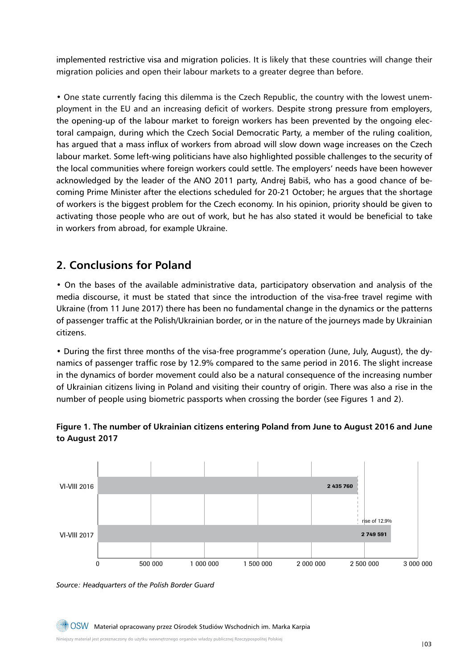implemented restrictive visa and migration policies. It is likely that these countries will change their migration policies and open their labour markets to a greater degree than before.

• One state currently facing this dilemma is the Czech Republic, the country with the lowest unemployment in the EU and an increasing deficit of workers. Despite strong pressure from employers, the opening-up of the labour market to foreign workers has been prevented by the ongoing electoral campaign, during which the Czech Social Democratic Party, a member of the ruling coalition, has argued that a mass influx of workers from abroad will slow down wage increases on the Czech labour market. Some left-wing politicians have also highlighted possible challenges to the security of the local communities where foreign workers could settle. The employers' needs have been however acknowledged by the leader of the ANO 2011 party, Andrej Babiš, who has a good chance of becoming Prime Minister after the elections scheduled for 20-21 October; he argues that the shortage of workers is the biggest problem for the Czech economy. In his opinion, priority should be given to activating those people who are out of work, but he has also stated it would be beneficial to take in workers from abroad, for example Ukraine.

## **2. Conclusions for Poland**

• On the bases of the available administrative data, participatory observation and analysis of the media discourse, it must be stated that since the introduction of the visa-free travel regime with Ukraine (from 11 June 2017) there has been no fundamental change in the dynamics or the patterns of passenger traffic at the Polish/Ukrainian border, or in the nature of the journeys made by Ukrainian citizens.

• During the first three months of the visa-free programme's operation (June, July, August), the dynamics of passenger traffic rose by 12.9% compared to the same period in 2016. The slight increase in the dynamics of border movement could also be a natural consequence of the increasing number of Ukrainian citizens living in Poland and visiting their country of origin. There was also a rise in the number of people using biometric passports when crossing the border (see Figures 1 and 2).



#### **Figure 1. The number of Ukrainian citizens entering Poland from June to August 2016 and June to August 2017**

*Source: Headquarters of the Polish Border Guard*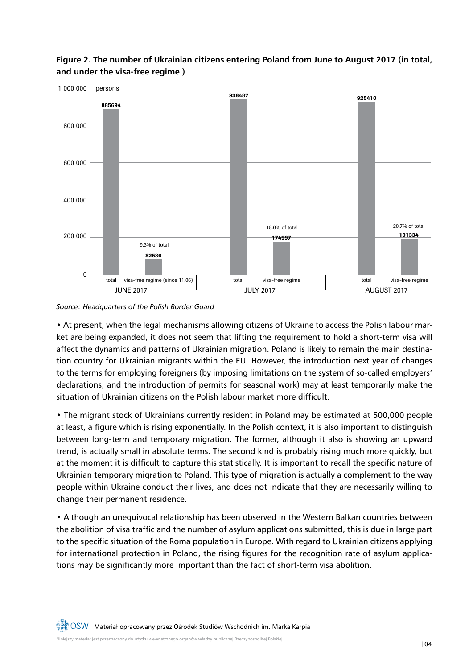

**Figure 2. The number of Ukrainian citizens entering Poland from June to August 2017 (in total, and under the visa-free regime )**

*Source: Headquarters of the Polish Border Guard*

• At present, when the legal mechanisms allowing citizens of Ukraine to access the Polish labour market are being expanded, it does not seem that lifting the requirement to hold a short-term visa will affect the dynamics and patterns of Ukrainian migration. Poland is likely to remain the main destination country for Ukrainian migrants within the EU. However, the introduction next year of changes to the terms for employing foreigners (by imposing limitations on the system of so-called employers' declarations, and the introduction of permits for seasonal work) may at least temporarily make the situation of Ukrainian citizens on the Polish labour market more difficult.

• The migrant stock of Ukrainians currently resident in Poland may be estimated at 500,000 people at least, a figure which is rising exponentially. In the Polish context, it is also important to distinguish between long-term and temporary migration. The former, although it also is showing an upward trend, is actually small in absolute terms. The second kind is probably rising much more quickly, but at the moment it is difficult to capture this statistically. It is important to recall the specific nature of Ukrainian temporary migration to Poland. This type of migration is actually a complement to the way people within Ukraine conduct their lives, and does not indicate that they are necessarily willing to change their permanent residence.

• Although an unequivocal relationship has been observed in the Western Balkan countries between the abolition of visa traffic and the number of asylum applications submitted, this is due in large part to the specific situation of the Roma population in Europe. With regard to Ukrainian citizens applying for international protection in Poland, the rising figures for the recognition rate of asylum applications may be significantly more important than the fact of short-term visa abolition.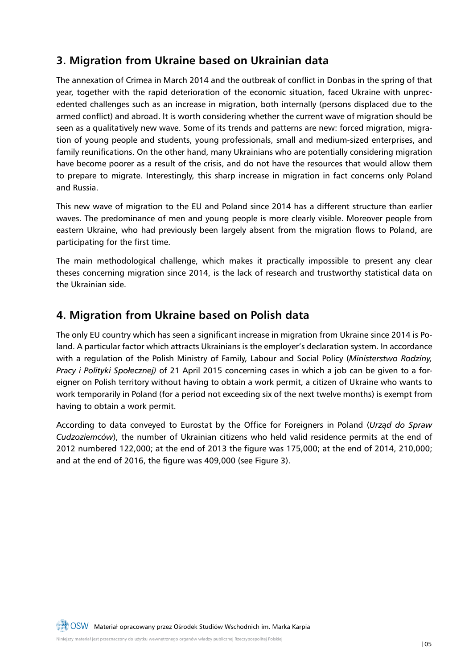### **3. Migration from Ukraine based on Ukrainian data**

The annexation of Crimea in March 2014 and the outbreak of conflict in Donbas in the spring of that year, together with the rapid deterioration of the economic situation, faced Ukraine with unprecedented challenges such as an increase in migration, both internally (persons displaced due to the armed conflict) and abroad. It is worth considering whether the current wave of migration should be seen as a qualitatively new wave. Some of its trends and patterns are new: forced migration, migration of young people and students, young professionals, small and medium-sized enterprises, and family reunifications. On the other hand, many Ukrainians who are potentially considering migration have become poorer as a result of the crisis, and do not have the resources that would allow them to prepare to migrate. Interestingly, this sharp increase in migration in fact concerns only Poland and Russia.

This new wave of migration to the EU and Poland since 2014 has a different structure than earlier waves. The predominance of men and young people is more clearly visible. Moreover people from eastern Ukraine, who had previously been largely absent from the migration flows to Poland, are participating for the first time.

The main methodological challenge, which makes it practically impossible to present any clear theses concerning migration since 2014, is the lack of research and trustworthy statistical data on the Ukrainian side.

#### **4. Migration from Ukraine based on Polish data**

The only EU country which has seen a significant increase in migration from Ukraine since 2014 is Poland. A particular factor which attracts Ukrainians is the employer's declaration system. In accordance with a regulation of the Polish Ministry of Family, Labour and Social Policy (*Ministerstwo Rodziny, Pracy i Polityki Społecznej)* of 21 April 2015 concerning cases in which a job can be given to a foreigner on Polish territory without having to obtain a work permit, a citizen of Ukraine who wants to work temporarily in Poland (for a period not exceeding six of the next twelve months) is exempt from having to obtain a work permit.

According to data conveyed to Eurostat by the Office for Foreigners in Poland (*Urząd do Spraw Cudzoziemców*), the number of Ukrainian citizens who held valid residence permits at the end of 2012 numbered 122,000; at the end of 2013 the figure was 175,000; at the end of 2014, 210,000; and at the end of 2016, the figure was 409,000 (see Figure 3).

Niniejszy materiał jest przeznaczony do użytku wewnętrznego organów władzy publicznej Rzeczypospolitej Polskiej  $\Box\hspace{-0.1cm}=\O(1)$ Materiał opracowany przez Ośrodek Studiów Wschodnich im. Marka Karpia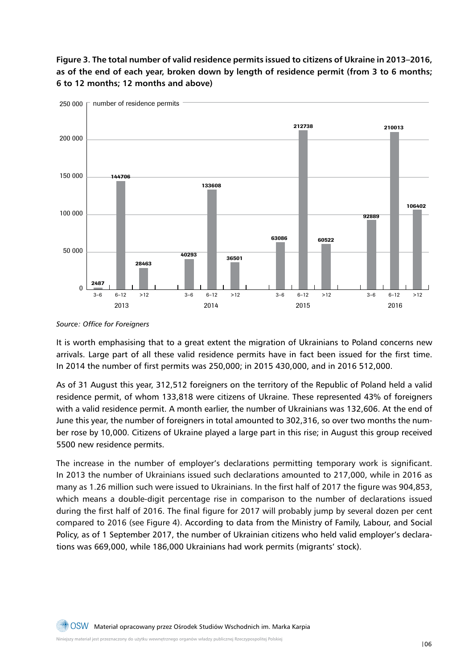#### **Figure 3. The total number of valid residence permits issued to citizens of Ukraine in 2013–2016, as of the end of each year, broken down by length of residence permit (from 3 to 6 months; 6 to 12 months; 12 months and above)**



*Source: Office for Foreigners*

It is worth emphasising that to a great extent the migration of Ukrainians to Poland concerns new arrivals. Large part of all these valid residence permits have in fact been issued for the first time. In 2014 the number of first permits was 250,000; in 2015 430,000, and in 2016 512,000.

As of 31 August this year, 312,512 foreigners on the territory of the Republic of Poland held a valid residence permit, of whom 133,818 were citizens of Ukraine. These represented 43% of foreigners with a valid residence permit. A month earlier, the number of Ukrainians was 132,606. At the end of June this year, the number of foreigners in total amounted to 302,316, so over two months the number rose by 10,000. Citizens of Ukraine played a large part in this rise; in August this group received 5500 new residence permits.

The increase in the number of employer's declarations permitting temporary work is significant. In 2013 the number of Ukrainians issued such declarations amounted to 217,000, while in 2016 as many as 1.26 million such were issued to Ukrainians. In the first half of 2017 the figure was 904,853, which means a double-digit percentage rise in comparison to the number of declarations issued during the first half of 2016. The final figure for 2017 will probably jump by several dozen per cent compared to 2016 (see Figure 4). According to data from the Ministry of Family, Labour, and Social Policy, as of 1 September 2017, the number of Ukrainian citizens who held valid employer's declarations was 669,000, while 186,000 Ukrainians had work permits (migrants' stock).

Niniejszy materiał jest przeznaczony do użytku wewnętrznego organów władzy publicznej Rzeczypospolitej Polskiej OSW Materiał opracowany przez Ośrodek Studiów Wschodnich im. Marka Karpia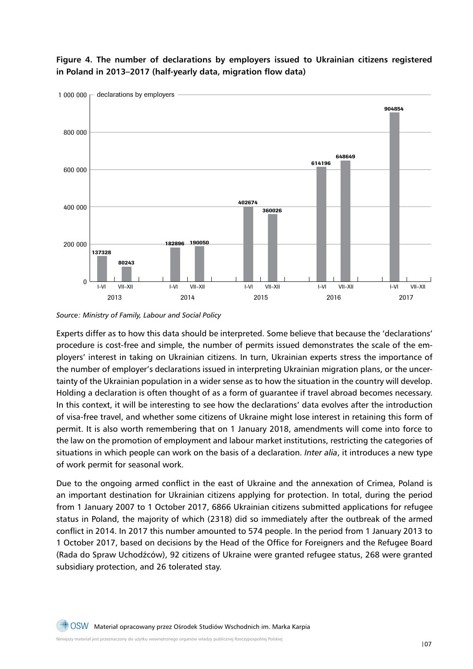

**Figure 4. The number of declarations by employers issued to Ukrainian citizens registered in Poland in 2013–2017 (half-yearly data, migration flow data)**

*Source: Ministry of Family, Labour and Social Policy*

Experts differ as to how this data should be interpreted. Some believe that because the 'declarations' procedure is cost-free and simple, the number of permits issued demonstrates the scale of the employers' interest in taking on Ukrainian citizens. In turn, Ukrainian experts stress the importance of the number of employer's declarations issued in interpreting Ukrainian migration plans, or the uncertainty of the Ukrainian population in a wider sense as to how the situation in the country will develop. Holding a declaration is often thought of as a form of guarantee if travel abroad becomes necessary. In this context, it will be interesting to see how the declarations' data evolves after the introduction of visa-free travel, and whether some citizens of Ukraine might lose interest in retaining this form of permit. It is also worth remembering that on 1 January 2018, amendments will come into force to the law on the promotion of employment and labour market institutions, restricting the categories of situations in which people can work on the basis of a declaration. *Inter alia*, it introduces a new type of work permit for seasonal work.

Due to the ongoing armed conflict in the east of Ukraine and the annexation of Crimea, Poland is an important destination for Ukrainian citizens applying for protection. In total, during the period from 1 January 2007 to 1 October 2017, 6866 Ukrainian citizens submitted applications for refugee status in Poland, the majority of which (2318) did so immediately after the outbreak of the armed conflict in 2014. In 2017 this number amounted to 574 people. In the period from 1 January 2013 to 1 October 2017, based on decisions by the Head of the Office for Foreigners and the Refugee Board (Rada do Spraw Uchodźców), 92 citizens of Ukraine were granted refugee status, 268 were granted subsidiary protection, and 26 tolerated stay.